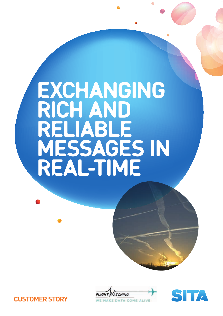# **EXCHANGING** rich and reliable messages in real-time





**CUSTOMER STORY**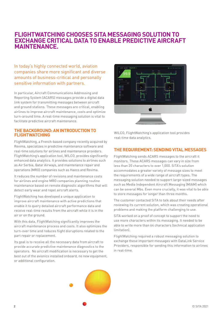# **FLIGHTWATCHING CHOOSES SITA MESSAGING SOLUTION TO EXCHANGE CRITICAL DATA TO ENABLE PREDICTIVE AIRCRAFT MAINTENANCE.**

In today's highly connected world, aviation companies share more significant and diverse amounts of business-critical and personally sensitive information with partners.

In particular, Aircraft Communications Addressing and Reporting System (ACARS) messages provide a digital data link system for transmitting messages between aircraft and ground stations. These messages are critical, enabling airlines to improve aircraft maintenance, costs and optimize turn-around time. A real-time messaging solution is vital to facilitate predictive aircraft maintenance.

## **THE BACKGROUND: AN INTRODUCTION TO FLIGHTWATCHING**

FlightWatching, a French-based company recently acquired by Revima, specializes in predictive maintenance software and real-time solutions for airlines and maintenance providers. FlightWatching's application tool, WILCO, provides significantly enhanced data analytics. It provides solutions to airlines such as Air Serbia, Qatar Airways, and maintenance repair and operations (MRO) companies such as Haeco and Revima.

It reduces the number of revisions and maintenance costs for airlines and engine MRO companies planning routine maintenance based on remote diagnostic algorithms that will detect early wear and repel aircraft alerts.

FlightWatching has developed a unique application to improve aircraft maintenance with active predictions that enable it to query detailed aircraft performance data and receive real-time results from the aircraft while it is in the air or on the ground.

With this data, FlightWatching significantly improves the aircraft maintenance process and costs. It also optimizes the turn-over time and reduces flight disruptions related to the part repair or replacement.

Its goal is to receive all the necessary data from aircraft to provide accurate predictive maintenance diagnostics to the operators. No aircraft modification is necessary to get the best out of the avionics installed onboard, no new equipment, or additional configuration.



WILCO, FlightWatching's application tool provides real-time data analytics.

# **THE REQUIREMENT: SENDING VITAL MESSAGES**

FlightWatching sends ACARS messages to the aircraft it monitors. These ACARS messages can vary in size from less than 20 characters to over 1,000. SITA's solution accommodates a greater variety of message sizes to meet the requirements of a wide range of aircraft types. The messaging solution needed to support large-sized messages such as Media Independent Aircraft Messaging (MIAM) which can be several Mbs. Even more crucially, it was vital to be able to store messages for longer than three months.

The customer contacted SITA to talk about their needs after reviewing its current solution, which was creating operational problems and making the platform challenging to use.

SITA worked on a proof of concept to support the need to use more characters within its messaging. It needed to be able to write more than 64 characters (technical application limitation).

FlightWatching required a robust messaging solution to exchange these important messages with DataLink Service Providers, responsible for sending this information to airlines in real-time.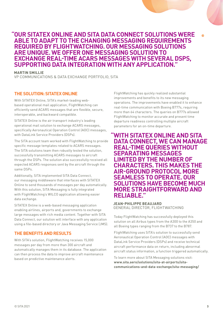# **" OUR SITATEX ONLINE AND SITA DATA CONNECT SOLUTIONS WERE ABLE TO ADAPT TO THE CHANGING MESSAGING REQUIREMENTS REQUIRED BY FLIGHTWATCHING. OUR MESSAGING SOLUTIONS ARE UNIQUE. WE OFFER ONE MESSAGING SOLUTION TO EXCHANGE REAL-TIME ACARS MESSAGES WITH SEVERAL DSPS, SUPPORTING DATA INTEGRATION WITH ANY APPLICATION."**

 **MARTIN SMILLIE**

VP COMMUNICATIONS & DATA EXCHANGE PORTFOLIO, SITA

# **THE SOLUTION: SITATEX ONLINE**

With SITATEX Online, SITA's market-leading webbased operational mail application, FlightWatching can efficiently send ACARS messages that are flexible, secure, interoperable, and backward compatible.

SITATEX Online is the air transport industry's leading operational mail solution to exchange ACARS messages, specifically Aeronautical Operation Control (AOC) messages, with DataLink Service Providers (DSPs).

The SITA account team worked with FlightWatching to provide specific message templates related to ACARS messages. The SITA solutions team then robustly tested the solution, successfully transmitting ACARS messages to aircraft through the DSPs. The solution also successfully received all expected ACARS responses sent by the aircraft through the same DSPs.

Additionally, SITA implemented SITA Data Connect, our messaging middleware that interfaces with SITATEX Online to send thousands of messages per day automatically. With this solution, SITA Messaging is fully integrated with FlightWatching's WILCO application allowing easier data exchange.

SITATEX Online is a web-based messaging application enabling airlines, airports and, governments to exchange large messages with rich media content. Together with SITA Data Connect, our solution will interface with any application using a file-based directory or Java Messaging Service (JMS).

# **THE BENEFITS AND RESULTS**

With SITA's solution, FlightWatching receives 15,000 messages per day from more than 300 aircraft and automatically manages them in its database. The application can then process the data to improve aircraft maintenance based on predictive maintenance alerts.

FlightWatching has quickly realized substantial improvements and benefits to its new messaging operations. The improvements have enabled it to enhance real-time communication with Boeing B777s, requiring more than 64 characters. The queries on B777s allowed FlightWatching to monitor accurate and present time departure readiness controlling multiple aircraft parameters for an on-time departure.

# **" WITH SITATEX ONLINE AND SITA DATA CONNECT, WE CAN MANAGE REAL-TIME QUERIES WITHOUT SEPARATING MESSAGES LIMITED BY THE NUMBER OF CHARACTERS. THIS MAKES THE AIR-GROUND PROTOCOL MORE SEAMLESS TO OPERATE. OUR SOLUTIONS HAVE BECOME MUCH MORE STRAIGHTFORWARD AND RELIABLE."**

## **JEAN-PHILIPPE BEAUJARD**

GENERAL DIRECTOR, FLIGHTWATCHING

Today FlightWatching has successfully deployed this solution on all Airbus types from the A300 to the A350 and all Boeing types ranging from the B737 to the B787.

FlightWatching uses SITA's solution to successfully send Aeronautical Operation Control (AOC) messages with DataLink Service Providers (DSPs) and receive technical aircraft performance data on return, including abnormal aircraft status information, a function triggered automatically.

To learn more about SITA Messaging solutions visit: **www.sita.aero/solutions/sita-at-airports/sitacommunications-and-data-exchange/sita-messaging/**